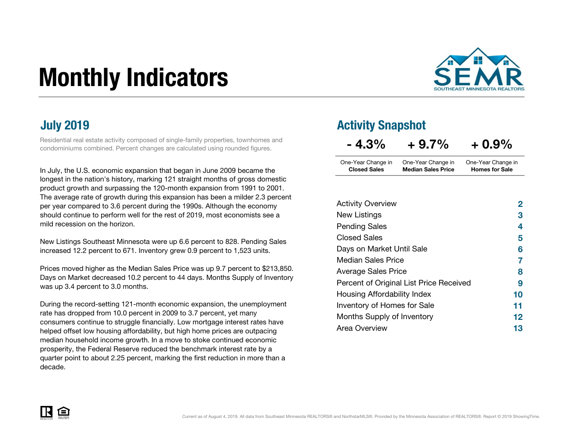# Monthly Indicators



Residential real estate activity composed of single-family properties, townhomes and condominiums combined. Percent changes are calculated using rounded figures.

In July, the U.S. economic expansion that began in June 2009 became the longest in the nation's history, marking 121 straight months of gross domestic product growth and surpassing the 120-month expansion from 1991 to 2001. The average rate of growth during this expansion has been a milder 2.3 percent per year compared to 3.6 percent during the 1990s. Although the economy should continue to perform well for the rest of 2019, most economists see a mild recession on the horizon.

New Listings Southeast Minnesota were up 6.6 percent to 828. Pending Sales increased 12.2 percent to 671. Inventory grew 0.9 percent to 1,523 units.

Prices moved higher as the Median Sales Price was up 9.7 percent to \$213,850. Days on Market decreased 10.2 percent to 44 days. Months Supply of Inventory was up 3.4 percent to 3.0 months.

During the record-setting 121-month economic expansion, the unemployment rate has dropped from 10.0 percent in 2009 to 3.7 percent, yet many consumers continue to struggle financially. Low mortgage interest rates have helped offset low housing affordability, but high home prices are outpacing median household income growth. In a move to stoke continued economic prosperity, the Federal Reserve reduced the benchmark interest rate by a quarter point to about 2.25 percent, marking the first reduction in more than a decade.

### July 2019 Activity Snapshot

| $-4.3\%$            | $+9.7\%$                  | $+0.9\%$              |  |
|---------------------|---------------------------|-----------------------|--|
| One-Year Change in  | One-Year Change in        | One-Year Change in    |  |
| <b>Closed Sales</b> | <b>Median Sales Price</b> | <b>Homes for Sale</b> |  |

| <b>Activity Overview</b>                | 2       |
|-----------------------------------------|---------|
| New Listings                            | З       |
| <b>Pending Sales</b>                    | 4       |
| Closed Sales                            | 5       |
| Days on Market Until Sale               | 6       |
| <b>Median Sales Price</b>               | 7       |
| <b>Average Sales Price</b>              | 8       |
| Percent of Original List Price Received | 9       |
| Housing Affordability Index             | 10      |
| <b>Inventory of Homes for Sale</b>      | 11      |
| Months Supply of Inventory              | $12 \,$ |
| Area Overview                           | 13      |

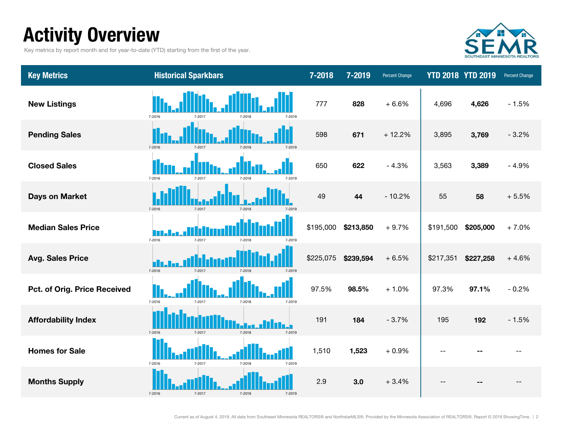### Activity Overview

Key metrics by report month and for year-to-date (YTD) starting from the first of the year.



| <b>Key Metrics</b>           | <b>Historical Sparkbars</b>          | 7-2018    | 7-2019    | <b>Percent Change</b> |           | <b>YTD 2018 YTD 2019</b> | Percent Change |
|------------------------------|--------------------------------------|-----------|-----------|-----------------------|-----------|--------------------------|----------------|
| <b>New Listings</b>          | 7-2016<br>7-2018<br>7-2017<br>7-2019 | 777       | 828       | $+6.6%$               | 4,696     | 4,626                    | $-1.5%$        |
| <b>Pending Sales</b>         | 7-2016<br>7-2017<br>7-2018<br>7-2019 | 598       | 671       | $+12.2%$              | 3,895     | 3,769                    | $-3.2%$        |
| <b>Closed Sales</b>          | 7-2016<br>7-2017<br>7-2018<br>7-2019 | 650       | 622       | $-4.3%$               | 3,563     | 3,389                    | $-4.9%$        |
| <b>Days on Market</b>        | 7-2016<br>7-2017<br>7-2018<br>7-2019 | 49        | 44        | $-10.2%$              | 55        | 58                       | $+5.5%$        |
| <b>Median Sales Price</b>    | 7-2016<br>7-2017<br>7-2018<br>7-2019 | \$195,000 | \$213,850 | $+9.7%$               | \$191,500 | \$205,000                | $+7.0%$        |
| <b>Avg. Sales Price</b>      | 7-2016<br>7-2017<br>7-2018<br>7-2019 | \$225,075 | \$239,594 | $+6.5%$               | \$217,351 | \$227,258                | $+4.6%$        |
| Pct. of Orig. Price Received | 7-2016<br>7-2017<br>7-2018<br>7-2019 | 97.5%     | 98.5%     | $+1.0%$               | 97.3%     | 97.1%                    | $-0.2%$        |
| <b>Affordability Index</b>   | 7-2016<br>7-2017<br>7-2018<br>7-2019 | 191       | 184       | $-3.7%$               | 195       | 192                      | $-1.5%$        |
| <b>Homes for Sale</b>        | 7-2016<br>7-2017<br>7-2018<br>7-2019 | 1,510     | 1,523     | $+0.9%$               |           |                          |                |
| <b>Months Supply</b>         | 7-2016<br>7-2017<br>7-2018<br>7-2019 | 2.9       | 3.0       | $+3.4%$               |           |                          |                |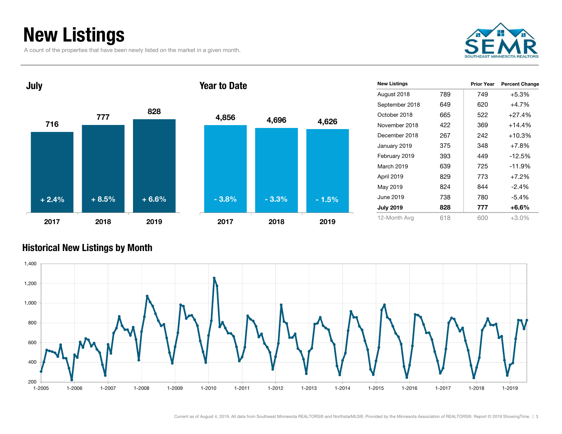### New Listings

A count of the properties that have been newly listed on the market in a given month.





| <b>New Listings</b> |     | <b>Prior Year</b> | <b>Percent Change</b> |
|---------------------|-----|-------------------|-----------------------|
| August 2018         | 789 | 749               | $+5.3%$               |
| September 2018      | 649 | 620               | $+4.7%$               |
| October 2018        | 665 | 522               | $+27.4%$              |
| November 2018       | 422 | 369               | $+14.4%$              |
| December 2018       | 267 | 242               | $+10.3%$              |
| January 2019        | 375 | 348               | $+7.8%$               |
| February 2019       | 393 | 449               | $-12.5%$              |
| March 2019          | 639 | 725               | $-11.9%$              |
| April 2019          | 829 | 773               | $+7.2%$               |
| May 2019            | 824 | 844               | $-2.4%$               |
| June 2019           | 738 | 780               | -5.4%                 |
| <b>July 2019</b>    | 828 | 777               | +6.6%                 |
| 12-Month Avg        | 618 | 600               | $+3.0\%$              |

#### Historical New Listings by Month

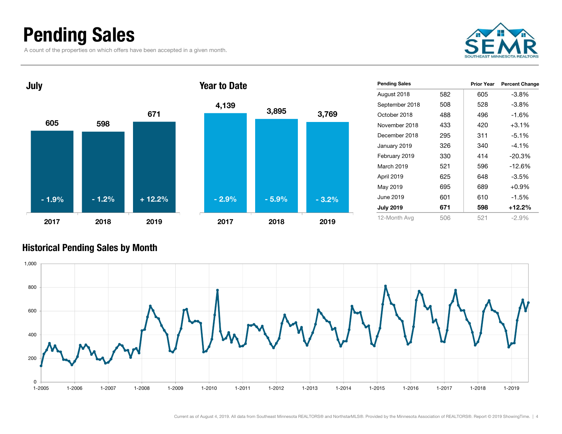### Pending Sales

A count of the properties on which offers have been accepted in a given month.





| <b>Pending Sales</b> |     | Prior Year | <b>Percent Change</b> |
|----------------------|-----|------------|-----------------------|
| August 2018          | 582 | 605        | $-3.8%$               |
| September 2018       | 508 | 528        | $-3.8\%$              |
| October 2018         | 488 | 496        | $-1.6%$               |
| November 2018        | 433 | 420        | $+3.1%$               |
| December 2018        | 295 | 311        | $-5.1\%$              |
| January 2019         | 326 | 340        | $-4.1\%$              |
| February 2019        | 330 | 414        | $-20.3%$              |
| March 2019           | 521 | 596        | $-12.6%$              |
| April 2019           | 625 | 648        | $-3.5\%$              |
| May 2019             | 695 | 689        | $+0.9%$               |
| June 2019            | 601 | 610        | $-1.5\%$              |
| <b>July 2019</b>     | 671 | 598        | +12.2%                |
| 12-Month Avg         | 506 | 521        | $-2.9%$               |

#### Historical Pending Sales by Month

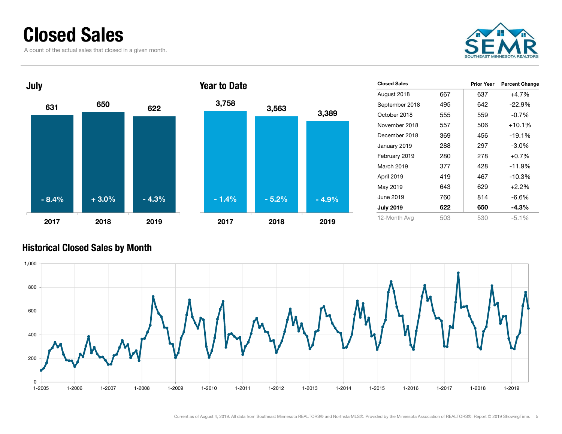### Closed Sales

A count of the actual sales that closed in a given month.





| <b>Closed Sales</b> |     | Prior Year | <b>Percent Change</b> |
|---------------------|-----|------------|-----------------------|
| August 2018         | 667 | 637        | $+4.7%$               |
| September 2018      | 495 | 642        | $-22.9%$              |
| October 2018        | 555 | 559        | $-0.7%$               |
| November 2018       | 557 | 506        | $+10.1%$              |
| December 2018       | 369 | 456        | $-19.1%$              |
| January 2019        | 288 | 297        | $-3.0\%$              |
| February 2019       | 280 | 278        | $+0.7%$               |
| March 2019          | 377 | 428        | $-11.9%$              |
| April 2019          | 419 | 467        | $-10.3%$              |
| May 2019            | 643 | 629        | $+2.2\%$              |
| June 2019           | 760 | 814        | -6.6%                 |
| <b>July 2019</b>    | 622 | 650        | -4.3%                 |
| 12-Month Avg        | 503 | 530        | $-5.1%$               |

#### Historical Closed Sales by Month

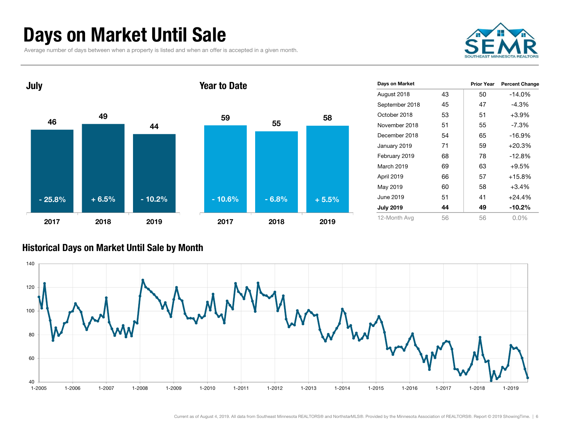### Days on Market Until Sale

Average number of days between when a property is listed and when an offer is accepted in a given month.





| Days on Market   |    | <b>Prior Year</b> | <b>Percent Change</b> |
|------------------|----|-------------------|-----------------------|
| August 2018      | 43 | 50                | $-14.0%$              |
| September 2018   | 45 | 47                | $-4.3%$               |
| October 2018     | 53 | 51                | $+3.9%$               |
| November 2018    | 51 | 55                | $-7.3%$               |
| December 2018    | 54 | 65                | $-16.9%$              |
| January 2019     | 71 | 59                | $+20.3%$              |
| February 2019    | 68 | 78                | $-12.8%$              |
| March 2019       | 69 | 63                | $+9.5%$               |
| April 2019       | 66 | 57                | $+15.8\%$             |
| May 2019         | 60 | 58                | $+3.4%$               |
| June 2019        | 51 | 41                | $+24.4%$              |
| <b>July 2019</b> | 44 | 49                | $-10.2\%$             |
| 12-Month Avg     | 56 | 56                | $0.0\%$               |

#### Historical Days on Market Until Sale by Month

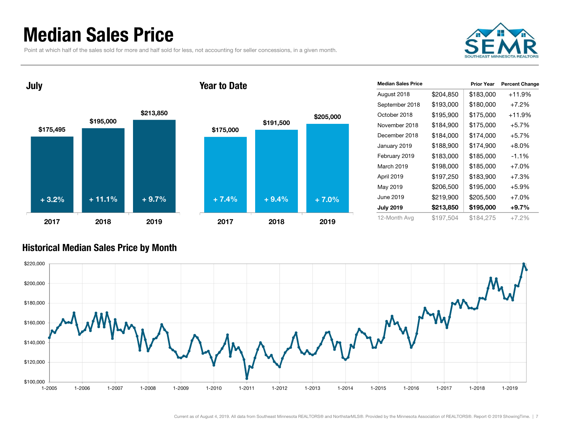### Median Sales Price

July

Point at which half of the sales sold for more and half sold for less, not accounting for seller concessions, in a given month.



\$175,495 \$195,000 \$213,850 2017 2018 2019\$175,000 \$191,500 \$205,000 2017 2018 2019+ 3.2% $\%$  + 11.1% + 9.7% + 7.4% + 9.4% + 7.0%



#### Historical Median Sales Price by Month

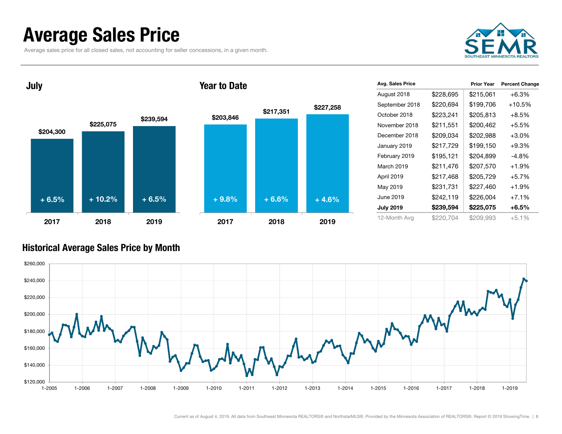### Average Sales Price

Average sales price for all closed sales, not accounting for seller concessions, in a given month.





|           | <b>Prior Year</b> | <b>Percent Change</b> |
|-----------|-------------------|-----------------------|
| \$228,695 | \$215,061         | $+6.3%$               |
| \$220,694 | \$199,706         | +10.5%                |
| \$223,241 | \$205,813         | $+8.5%$               |
| \$211,551 | \$200,462         | $+5.5%$               |
| \$209,034 | \$202,988         | $+3.0%$               |
| \$217,729 | \$199,150         | $+9.3%$               |
| \$195,121 | \$204,899         | $-4.8\%$              |
| \$211,476 | \$207,570         | $+1.9%$               |
| \$217,468 | \$205,729         | $+5.7%$               |
| \$231,731 | \$227,460         | $+1.9%$               |
| \$242,119 | \$226,004         | $+7.1%$               |
| \$239,594 | \$225,075         | $+6.5%$               |
| \$220.704 | \$209,993         | $+5.1%$               |
|           |                   |                       |

#### Historical Average Sales Price by Month

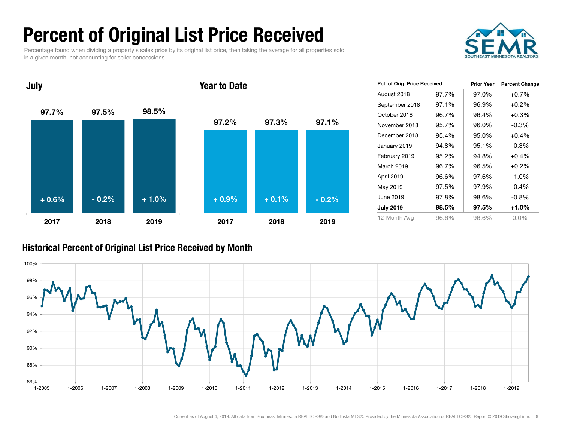### Percent of Original List Price Received

Percentage found when dividing a property's sales price by its original list price, then taking the average for all properties sold in a given month, not accounting for seller concessions.



97.7% 97.5% 98.5% 2017 2018 201997.2% 97.3% 97.1%2017 2018 2019Year to Date+ 0.6% $\%$  - 0.2% + 1.0% + 0.9% + 0.1% - 0.2%

| Pct. of Orig. Price Received |       | <b>Prior Year</b> | <b>Percent Change</b> |
|------------------------------|-------|-------------------|-----------------------|
| August 2018                  | 97.7% | 97.0%             | $+0.7%$               |
| September 2018               | 97.1% | 96.9%             | $+0.2%$               |
| October 2018                 | 96.7% | 96.4%             | $+0.3%$               |
| November 2018                | 95.7% | 96.0%             | $-0.3%$               |
| December 2018                | 95.4% | 95.0%             | $+0.4%$               |
| January 2019                 | 94.8% | 95.1%             | $-0.3\%$              |
| February 2019                | 95.2% | 94.8%             | $+0.4%$               |
| March 2019                   | 96.7% | 96.5%             | $+0.2%$               |
| April 2019                   | 96.6% | 97.6%             | $-1.0%$               |
| May 2019                     | 97.5% | 97.9%             | $-0.4%$               |
| June 2019                    | 97.8% | 98.6%             | $-0.8\%$              |
| <b>July 2019</b>             | 98.5% | 97.5%             | +1.0%                 |
| 12-Month Avg                 | 96.6% | 96.6%             | $0.0\%$               |

#### Historical Percent of Original List Price Received by Month



July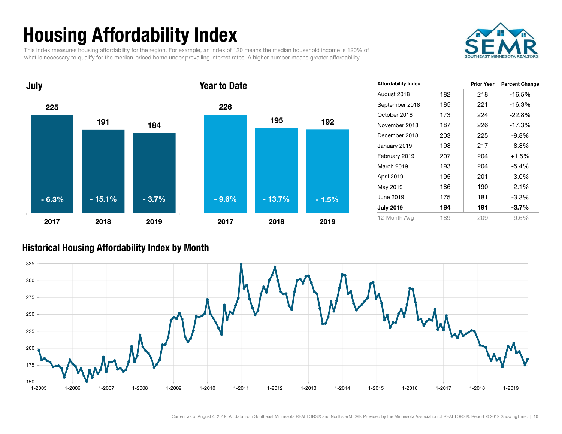## Housing Affordability Index

This index measures housing affordability for the region. For example, an index of 120 means the median household income is 120% of what is necessary to qualify for the median-priced home under prevailing interest rates. A higher number means greater affordability.





| <b>Affordability Index</b> |     | <b>Prior Year</b> | <b>Percent Change</b> |
|----------------------------|-----|-------------------|-----------------------|
| August 2018                | 182 | 218               | $-16.5%$              |
| September 2018             | 185 | 221               | $-16.3%$              |
| October 2018               | 173 | 224               | $-22.8%$              |
| November 2018              | 187 | 226               | $-17.3%$              |
| December 2018              | 203 | 225               | $-9.8%$               |
| January 2019               | 198 | 217               | $-8.8%$               |
| February 2019              | 207 | 204               | $+1.5%$               |
| March 2019                 | 193 | 204               | $-5.4\%$              |
| April 2019                 | 195 | 201               | $-3.0\%$              |
| May 2019                   | 186 | 190               | $-2.1%$               |
| June 2019                  | 175 | 181               | $-3.3%$               |
| <b>July 2019</b>           | 184 | 191               | $-3.7\%$              |
| 12-Month Avg               | 189 | 209               | $-9.6%$               |

#### Historical Housing Affordability Index by Mont h

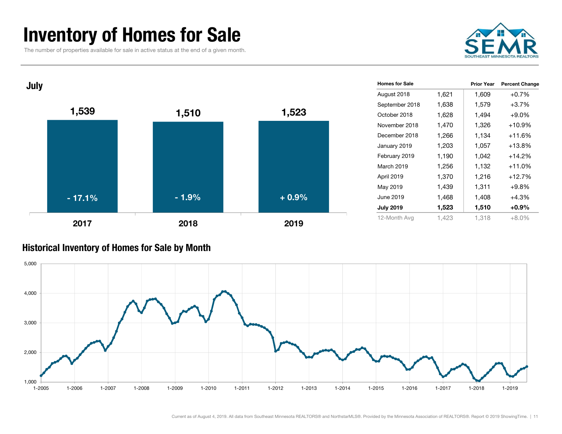### Inventory of Homes for Sale

The number of properties available for sale in active status at the end of a given month.



| July |          |         |         | <b>Homes for Sale</b> |       | <b>Prior Year</b> | <b>Percent Change</b> |
|------|----------|---------|---------|-----------------------|-------|-------------------|-----------------------|
|      |          |         |         | August 2018           | 1,621 | 1,609             | $+0.7%$               |
|      |          |         |         | September 2018        | 1,638 | 1,579             | $+3.7%$               |
|      | 1,539    | 1,510   | 1,523   | October 2018          | 1,628 | 1,494             | $+9.0%$               |
|      |          |         |         | November 2018         | 1,470 | 1,326             | $+10.9%$              |
|      |          |         |         | December 2018         | 1,266 | 1,134             | $+11.6%$              |
|      |          |         |         | January 2019          | 1,203 | 1,057             | $+13.8%$              |
|      |          |         |         | February 2019         | 1,190 | 1,042             | $+14.2%$              |
|      |          |         |         | <b>March 2019</b>     | 1,256 | 1,132             | $+11.0%$              |
|      |          |         |         | April 2019            | 1,370 | 1,216             | $+12.7%$              |
|      |          |         |         | May 2019              | 1,439 | 1,311             | $+9.8%$               |
|      | $-17.1%$ | $-1.9%$ | $+0.9%$ | June 2019             | 1,468 | 1,408             | $+4.3%$               |
|      |          |         |         | <b>July 2019</b>      | 1,523 | 1,510             | $+0.9%$               |
|      | 2017     | 2018    | 2019    | 12-Month Avg          | 1,423 | 1,318             | $+8.0%$               |

#### Historical Inventory of Homes for Sale by Month

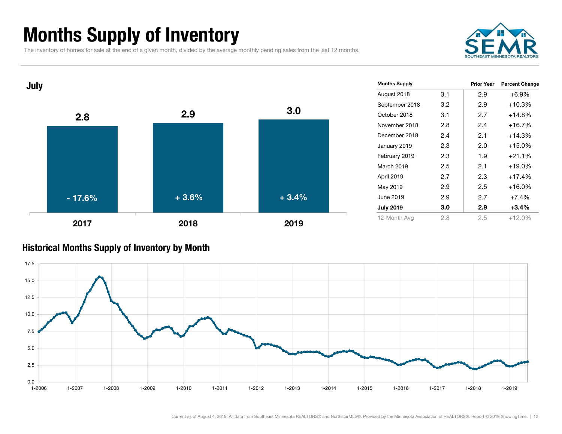### Months Supply of Inventory

The inventory of homes for sale at the end of a given month, divided by the average monthly pending sales from the last 12 months.

![](_page_11_Picture_2.jpeg)

![](_page_11_Figure_3.jpeg)

#### Historical Months Supply of Inventory by Month

![](_page_11_Figure_5.jpeg)